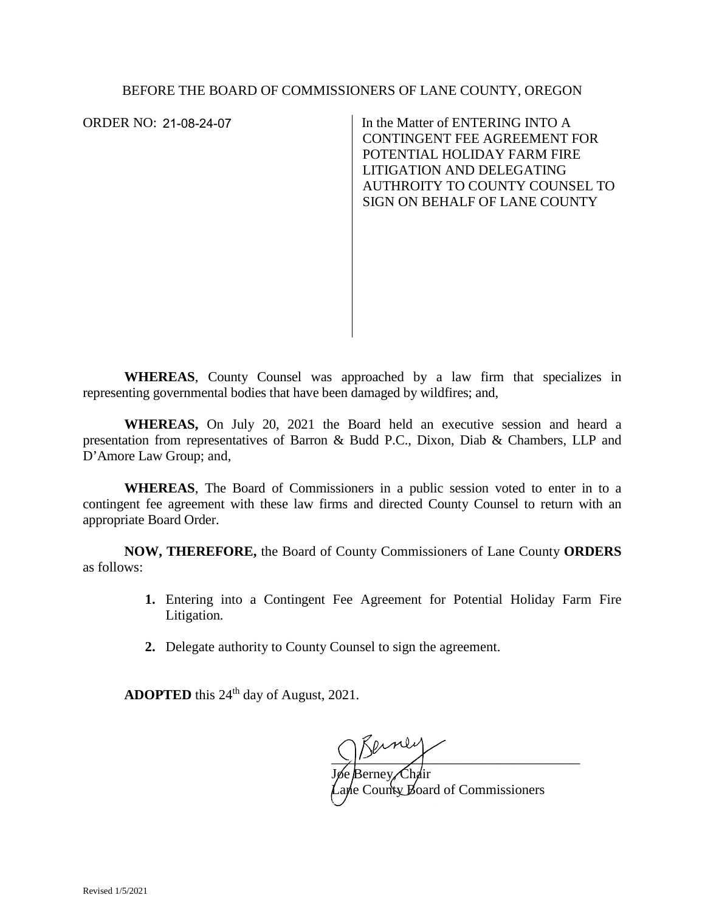ORDER NO: 21-08-24-07

In the Matter of ENTERING INTO A CONTINGENT FEE AGREEMENT FOR POTENTIAL HOLIDAY FARM FIRE LITIGATION AND DELEGATING AUTHROITY TO COUNTY COUNSEL TO SIGN ON BEHALF OF LANE COUNTY

**WHEREAS**, County Counsel was approached by a law firm that specializes in representing governmental bodies that have been damaged by wildfires; and,

**WHEREAS,** On July 20, 2021 the Board held an executive session and heard a presentation from representatives of Barron & Budd P.C., Dixon, Diab & Chambers, LLP and D'Amore Law Group; and,

**WHEREAS**, The Board of Commissioners in a public session voted to enter in to a contingent fee agreement with these law firms and directed County Counsel to return with an appropriate Board Order.

**NOW, THEREFORE,** the Board of County Commissioners of Lane County **ORDERS**  as follows:

- **1.** Entering into a Contingent Fee Agreement for Potential Holiday Farm Fire Litigation*.*
- **2.** Delegate authority to County Counsel to sign the agreement.

**ADOPTED** this 24<sup>th</sup> day of August, 2021.

 $\frac{1}{2}$ 

Jøe Berney, Chair Lane County Board of Commissioners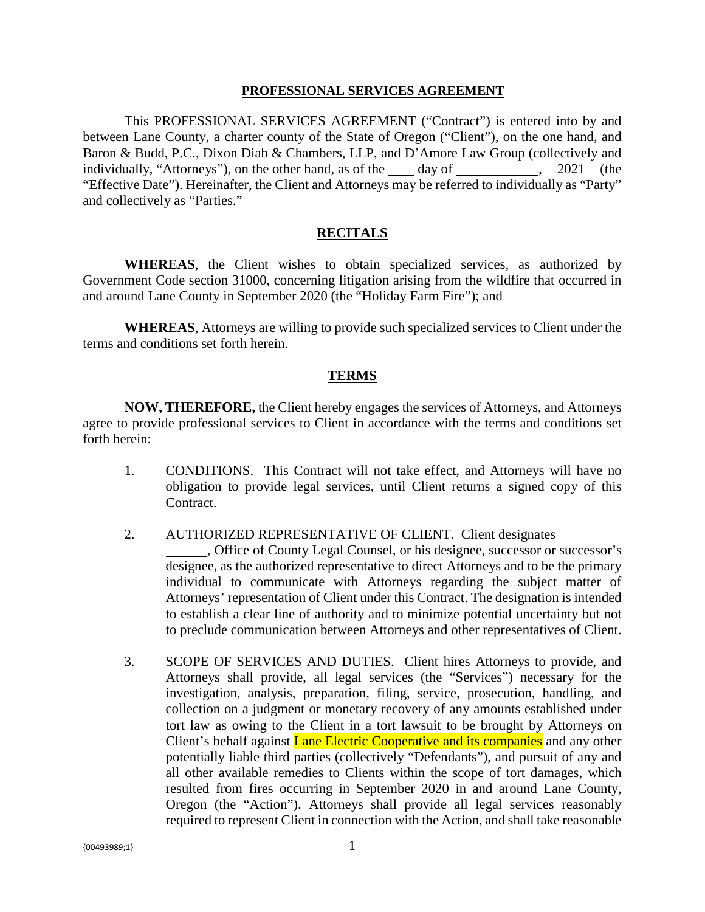#### **PROFESSIONAL SERVICES AGREEMENT**

This PROFESSIONAL SERVICES AGREEMENT ("Contract") is entered into by and between Lane County, a charter county of the State of Oregon ("Client"), on the one hand, and Baron & Budd, P.C., Dixon Diab & Chambers, LLP, and D'Amore Law Group (collectively and individually, "Attorneys"), on the other hand, as of the day of , 2021 (the "Effective Date"). Hereinafter, the Client and Attorneys may be referred to individually as "Party" and collectively as "Parties."

### **RECITALS**

**WHEREAS**, the Client wishes to obtain specialized services, as authorized by Government Code section 31000, concerning litigation arising from the wildfire that occurred in and around Lane County in September 2020 (the "Holiday Farm Fire"); and

**WHEREAS**, Attorneys are willing to provide such specialized services to Client under the terms and conditions set forth herein.

### **TERMS**

**NOW, THEREFORE,** the Client hereby engages the services of Attorneys, and Attorneys agree to provide professional services to Client in accordance with the terms and conditions set forth herein:

- 1. CONDITIONS. This Contract will not take effect, and Attorneys will have no obligation to provide legal services, until Client returns a signed copy of this Contract.
- 2. AUTHORIZED REPRESENTATIVE OF CLIENT. Client designates , Office of County Legal Counsel, or his designee, successor or successor's designee, as the authorized representative to direct Attorneys and to be the primary individual to communicate with Attorneys regarding the subject matter of Attorneys' representation of Client under this Contract. The designation is intended to establish a clear line of authority and to minimize potential uncertainty but not to preclude communication between Attorneys and other representatives of Client.
- 3. SCOPE OF SERVICES AND DUTIES. Client hires Attorneys to provide, and Attorneys shall provide, all legal services (the "Services") necessary for the investigation, analysis, preparation, filing, service, prosecution, handling, and collection on a judgment or monetary recovery of any amounts established under tort law as owing to the Client in a tort lawsuit to be brought by Attorneys on Client's behalf against **Lane Electric Cooperative and its companies** and any other potentially liable third parties (collectively "Defendants"), and pursuit of any and all other available remedies to Clients within the scope of tort damages, which resulted from fires occurring in September 2020 in and around Lane County, Oregon (the "Action"). Attorneys shall provide all legal services reasonably required to represent Client in connection with the Action, and shall take reasonable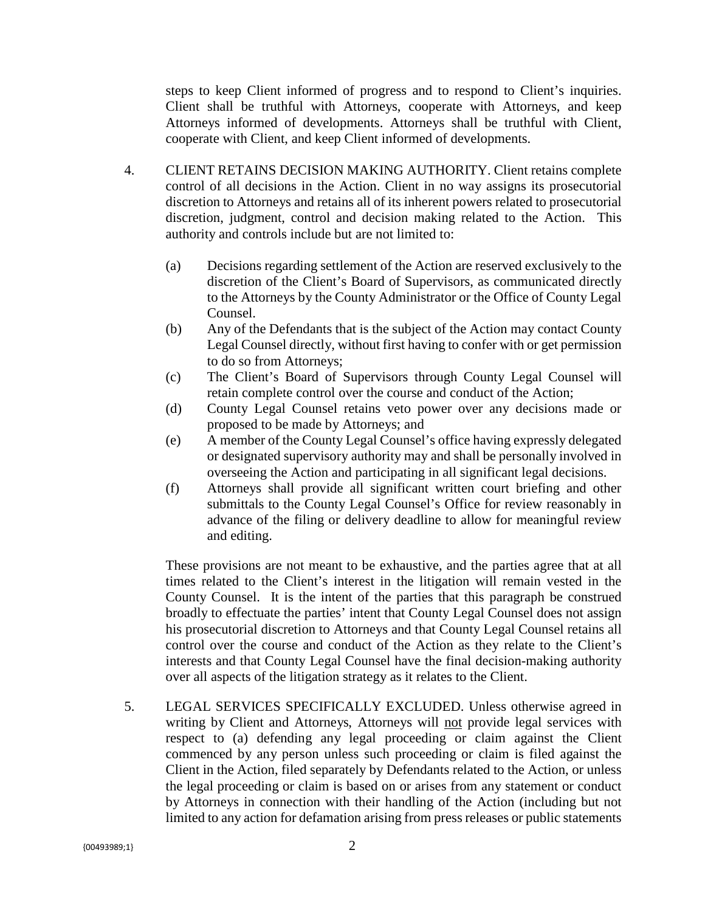steps to keep Client informed of progress and to respond to Client's inquiries. Client shall be truthful with Attorneys, cooperate with Attorneys, and keep Attorneys informed of developments. Attorneys shall be truthful with Client, cooperate with Client, and keep Client informed of developments.

- 4. CLIENT RETAINS DECISION MAKING AUTHORITY. Client retains complete control of all decisions in the Action. Client in no way assigns its prosecutorial discretion to Attorneys and retains all of its inherent powers related to prosecutorial discretion, judgment, control and decision making related to the Action. This authority and controls include but are not limited to:
	- (a) Decisions regarding settlement of the Action are reserved exclusively to the discretion of the Client's Board of Supervisors, as communicated directly to the Attorneys by the County Administrator or the Office of County Legal Counsel.
	- (b) Any of the Defendants that is the subject of the Action may contact County Legal Counsel directly, without first having to confer with or get permission to do so from Attorneys;
	- (c) The Client's Board of Supervisors through County Legal Counsel will retain complete control over the course and conduct of the Action;
	- (d) County Legal Counsel retains veto power over any decisions made or proposed to be made by Attorneys; and
	- (e) A member of the County Legal Counsel's office having expressly delegated or designated supervisory authority may and shall be personally involved in overseeing the Action and participating in all significant legal decisions.
	- (f) Attorneys shall provide all significant written court briefing and other submittals to the County Legal Counsel's Office for review reasonably in advance of the filing or delivery deadline to allow for meaningful review and editing.

These provisions are not meant to be exhaustive, and the parties agree that at all times related to the Client's interest in the litigation will remain vested in the County Counsel. It is the intent of the parties that this paragraph be construed broadly to effectuate the parties' intent that County Legal Counsel does not assign his prosecutorial discretion to Attorneys and that County Legal Counsel retains all control over the course and conduct of the Action as they relate to the Client's interests and that County Legal Counsel have the final decision-making authority over all aspects of the litigation strategy as it relates to the Client.

5. LEGAL SERVICES SPECIFICALLY EXCLUDED. Unless otherwise agreed in writing by Client and Attorneys, Attorneys will not provide legal services with respect to (a) defending any legal proceeding or claim against the Client commenced by any person unless such proceeding or claim is filed against the Client in the Action, filed separately by Defendants related to the Action, or unless the legal proceeding or claim is based on or arises from any statement or conduct by Attorneys in connection with their handling of the Action (including but not limited to any action for defamation arising from press releases or public statements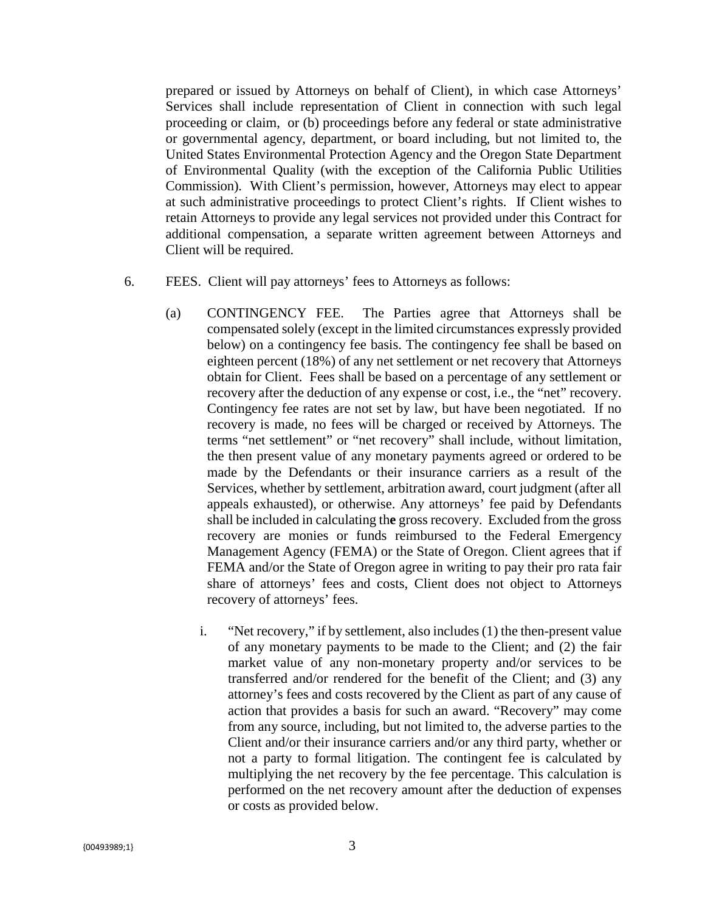prepared or issued by Attorneys on behalf of Client), in which case Attorneys' Services shall include representation of Client in connection with such legal proceeding or claim, or (b) proceedings before any federal or state administrative or governmental agency, department, or board including, but not limited to, the United States Environmental Protection Agency and the Oregon State Department of Environmental Quality (with the exception of the California Public Utilities Commission). With Client's permission, however, Attorneys may elect to appear at such administrative proceedings to protect Client's rights. If Client wishes to retain Attorneys to provide any legal services not provided under this Contract for additional compensation, a separate written agreement between Attorneys and Client will be required.

- 6. FEES. Client will pay attorneys' fees to Attorneys as follows:
	- (a) CONTINGENCY FEE. The Parties agree that Attorneys shall be compensated solely (except in the limited circumstances expressly provided below) on a contingency fee basis. The contingency fee shall be based on eighteen percent (18%) of any net settlement or net recovery that Attorneys obtain for Client. Fees shall be based on a percentage of any settlement or recovery after the deduction of any expense or cost, i.e., the "net" recovery. Contingency fee rates are not set by law, but have been negotiated. If no recovery is made, no fees will be charged or received by Attorneys. The terms "net settlement" or "net recovery" shall include, without limitation, the then present value of any monetary payments agreed or ordered to be made by the Defendants or their insurance carriers as a result of the Services, whether by settlement, arbitration award, court judgment (after all appeals exhausted), or otherwise. Any attorneys' fee paid by Defendants shall be included in calculating th**e** gross recovery. Excluded from the gross recovery are monies or funds reimbursed to the Federal Emergency Management Agency (FEMA) or the State of Oregon. Client agrees that if FEMA and/or the State of Oregon agree in writing to pay their pro rata fair share of attorneys' fees and costs, Client does not object to Attorneys recovery of attorneys' fees.
		- i. "Net recovery," if by settlement, also includes (1) the then-present value of any monetary payments to be made to the Client; and (2) the fair market value of any non-monetary property and/or services to be transferred and/or rendered for the benefit of the Client; and (3) any attorney's fees and costs recovered by the Client as part of any cause of action that provides a basis for such an award. "Recovery" may come from any source, including, but not limited to, the adverse parties to the Client and/or their insurance carriers and/or any third party, whether or not a party to formal litigation. The contingent fee is calculated by multiplying the net recovery by the fee percentage. This calculation is performed on the net recovery amount after the deduction of expenses or costs as provided below.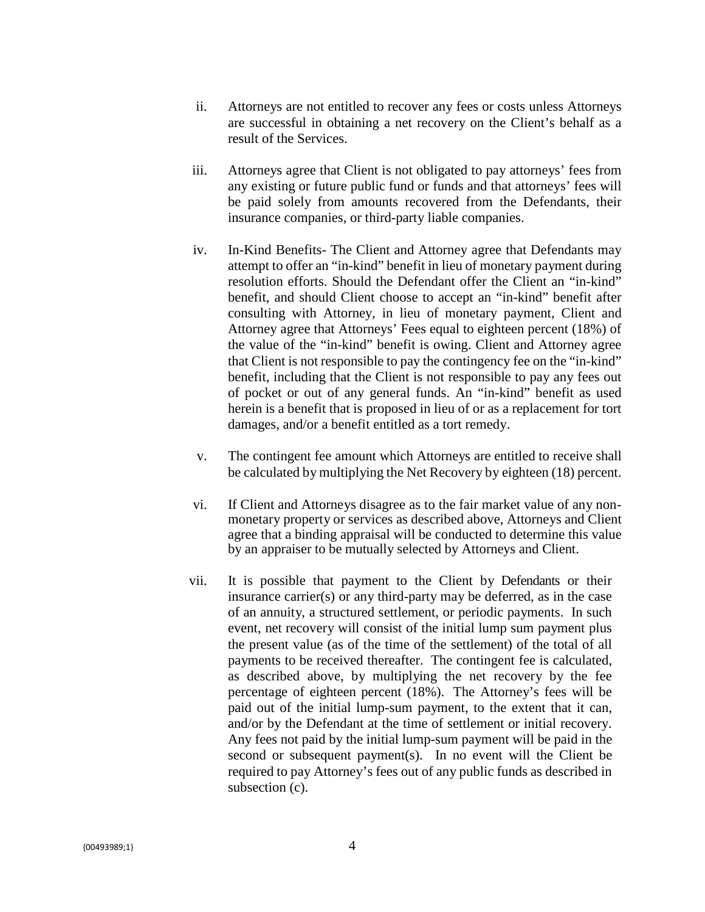- ii. Attorneys are not entitled to recover any fees or costs unless Attorneys are successful in obtaining a net recovery on the Client's behalf as a result of the Services.
- iii. Attorneys agree that Client is not obligated to pay attorneys' fees from any existing or future public fund or funds and that attorneys' fees will be paid solely from amounts recovered from the Defendants, their insurance companies, or third-party liable companies.
- iv. In-Kind Benefits- The Client and Attorney agree that Defendants may attempt to offer an "in-kind" benefit in lieu of monetary payment during resolution efforts. Should the Defendant offer the Client an "in-kind" benefit, and should Client choose to accept an "in-kind" benefit after consulting with Attorney, in lieu of monetary payment, Client and Attorney agree that Attorneys' Fees equal to eighteen percent (18%) of the value of the "in-kind" benefit is owing. Client and Attorney agree that Client is not responsible to pay the contingency fee on the "in-kind" benefit, including that the Client is not responsible to pay any fees out of pocket or out of any general funds. An "in-kind" benefit as used herein is a benefit that is proposed in lieu of or as a replacement for tort damages, and/or a benefit entitled as a tort remedy.
- v. The contingent fee amount which Attorneys are entitled to receive shall be calculated by multiplying the Net Recovery by eighteen (18) percent.
- vi. If Client and Attorneys disagree as to the fair market value of any nonmonetary property or services as described above, Attorneys and Client agree that a binding appraisal will be conducted to determine this value by an appraiser to be mutually selected by Attorneys and Client.
- vii. It is possible that payment to the Client by Defendants or their insurance carrier(s) or any third-party may be deferred, as in the case of an annuity, a structured settlement, or periodic payments. In such event, net recovery will consist of the initial lump sum payment plus the present value (as of the time of the settlement) of the total of all payments to be received thereafter. The contingent fee is calculated, as described above, by multiplying the net recovery by the fee percentage of eighteen percent (18%). The Attorney's fees will be paid out of the initial lump-sum payment, to the extent that it can, and/or by the Defendant at the time of settlement or initial recovery. Any fees not paid by the initial lump-sum payment will be paid in the second or subsequent payment(s). In no event will the Client be required to pay Attorney's fees out of any public funds as described in subsection (c).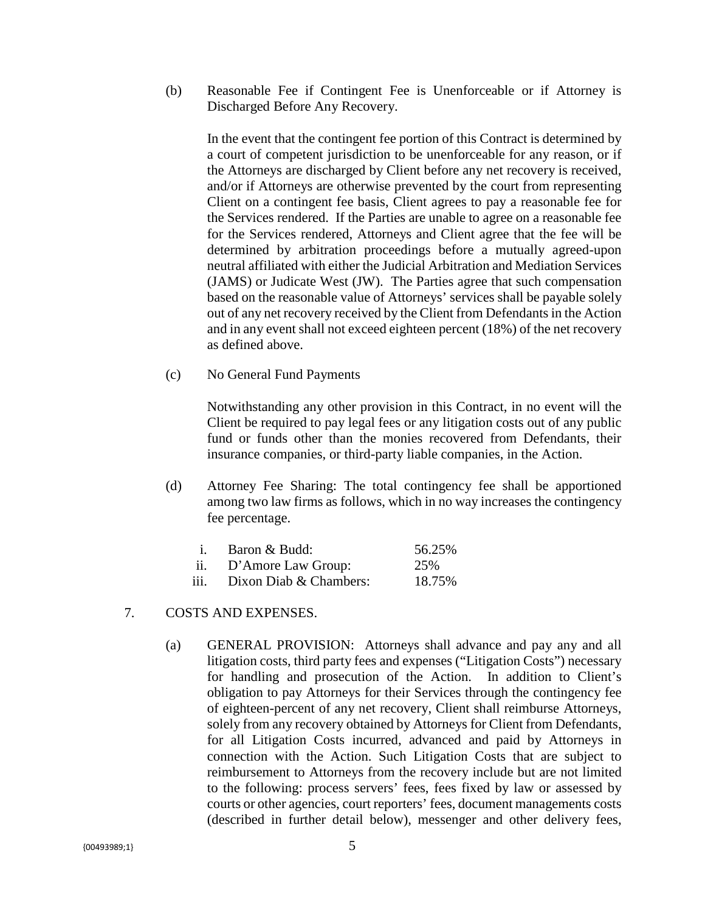(b) Reasonable Fee if Contingent Fee is Unenforceable or if Attorney is Discharged Before Any Recovery.

In the event that the contingent fee portion of this Contract is determined by a court of competent jurisdiction to be unenforceable for any reason, or if the Attorneys are discharged by Client before any net recovery is received, and/or if Attorneys are otherwise prevented by the court from representing Client on a contingent fee basis, Client agrees to pay a reasonable fee for the Services rendered. If the Parties are unable to agree on a reasonable fee for the Services rendered, Attorneys and Client agree that the fee will be determined by arbitration proceedings before a mutually agreed-upon neutral affiliated with either the Judicial Arbitration and Mediation Services (JAMS) or Judicate West (JW). The Parties agree that such compensation based on the reasonable value of Attorneys' services shall be payable solely out of any net recovery received by the Client from Defendants in the Action and in any event shall not exceed eighteen percent (18%) of the net recovery as defined above.

(c) No General Fund Payments

Notwithstanding any other provision in this Contract, in no event will the Client be required to pay legal fees or any litigation costs out of any public fund or funds other than the monies recovered from Defendants, their insurance companies, or third-party liable companies, in the Action.

(d) Attorney Fee Sharing: The total contingency fee shall be apportioned among two law firms as follows, which in no way increases the contingency fee percentage.

|      | Baron & Budd:          | 56.25% |
|------|------------------------|--------|
| ii.  | D'Amore Law Group:     | 25%    |
| iii. | Dixon Diab & Chambers: | 18.75% |

- 7. COSTS AND EXPENSES.
	- (a) GENERAL PROVISION: Attorneys shall advance and pay any and all litigation costs, third party fees and expenses ("Litigation Costs") necessary for handling and prosecution of the Action. In addition to Client's obligation to pay Attorneys for their Services through the contingency fee of eighteen-percent of any net recovery, Client shall reimburse Attorneys, solely from any recovery obtained by Attorneys for Client from Defendants, for all Litigation Costs incurred, advanced and paid by Attorneys in connection with the Action. Such Litigation Costs that are subject to reimbursement to Attorneys from the recovery include but are not limited to the following: process servers' fees, fees fixed by law or assessed by courts or other agencies, court reporters' fees, document managements costs (described in further detail below), messenger and other delivery fees,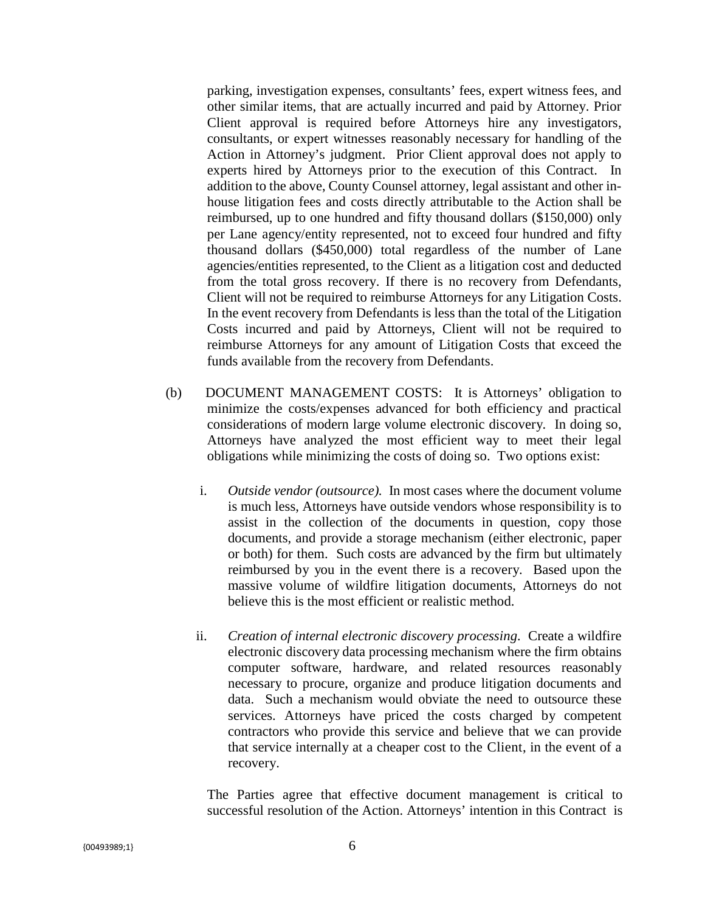parking, investigation expenses, consultants' fees, expert witness fees, and other similar items, that are actually incurred and paid by Attorney. Prior Client approval is required before Attorneys hire any investigators, consultants, or expert witnesses reasonably necessary for handling of the Action in Attorney's judgment. Prior Client approval does not apply to experts hired by Attorneys prior to the execution of this Contract. In addition to the above, County Counsel attorney, legal assistant and other inhouse litigation fees and costs directly attributable to the Action shall be reimbursed, up to one hundred and fifty thousand dollars (\$150,000) only per Lane agency/entity represented, not to exceed four hundred and fifty thousand dollars (\$450,000) total regardless of the number of Lane agencies/entities represented, to the Client as a litigation cost and deducted from the total gross recovery. If there is no recovery from Defendants, Client will not be required to reimburse Attorneys for any Litigation Costs. In the event recovery from Defendants is less than the total of the Litigation Costs incurred and paid by Attorneys, Client will not be required to reimburse Attorneys for any amount of Litigation Costs that exceed the funds available from the recovery from Defendants.

- (b) DOCUMENT MANAGEMENT COSTS: It is Attorneys' obligation to minimize the costs/expenses advanced for both efficiency and practical considerations of modern large volume electronic discovery. In doing so, Attorneys have analyzed the most efficient way to meet their legal obligations while minimizing the costs of doing so. Two options exist:
	- i. *Outside vendor (outsource).* In most cases where the document volume is much less, Attorneys have outside vendors whose responsibility is to assist in the collection of the documents in question, copy those documents, and provide a storage mechanism (either electronic, paper or both) for them. Such costs are advanced by the firm but ultimately reimbursed by you in the event there is a recovery. Based upon the massive volume of wildfire litigation documents, Attorneys do not believe this is the most efficient or realistic method.
	- ii. *Creation of internal electronic discovery processing.* Create a wildfire electronic discovery data processing mechanism where the firm obtains computer software, hardware, and related resources reasonably necessary to procure, organize and produce litigation documents and data. Such a mechanism would obviate the need to outsource these services. Attorneys have priced the costs charged by competent contractors who provide this service and believe that we can provide that service internally at a cheaper cost to the Client, in the event of a recovery.

The Parties agree that effective document management is critical to successful resolution of the Action. Attorneys' intention in this Contract is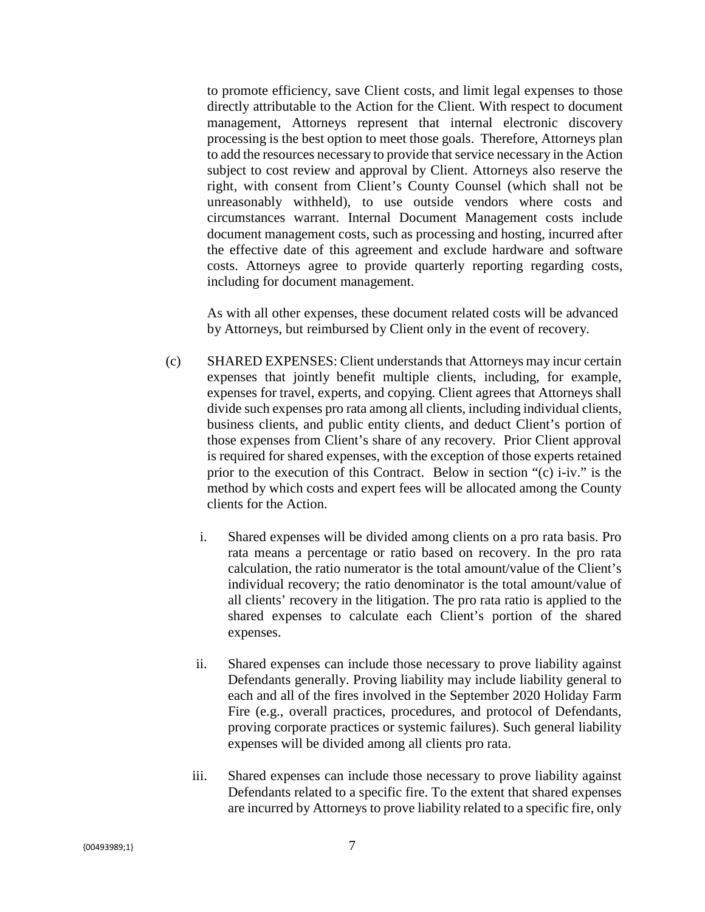to promote efficiency, save Client costs, and limit legal expenses to those directly attributable to the Action for the Client. With respect to document management, Attorneys represent that internal electronic discovery processing is the best option to meet those goals. Therefore, Attorneys plan to add the resources necessary to provide that service necessary in the Action subject to cost review and approval by Client. Attorneys also reserve the right, with consent from Client's County Counsel (which shall not be unreasonably withheld), to use outside vendors where costs and circumstances warrant. Internal Document Management costs include document management costs, such as processing and hosting, incurred after the effective date of this agreement and exclude hardware and software costs. Attorneys agree to provide quarterly reporting regarding costs, including for document management.

As with all other expenses, these document related costs will be advanced by Attorneys, but reimbursed by Client only in the event of recovery.

- (c) SHARED EXPENSES: Client understands that Attorneys may incur certain expenses that jointly benefit multiple clients, including, for example, expenses for travel, experts, and copying. Client agrees that Attorneys shall divide such expenses pro rata among all clients, including individual clients, business clients, and public entity clients, and deduct Client's portion of those expenses from Client's share of any recovery. Prior Client approval is required for shared expenses, with the exception of those experts retained prior to the execution of this Contract. Below in section "(c) i-iv." is the method by which costs and expert fees will be allocated among the County clients for the Action.
	- i. Shared expenses will be divided among clients on a pro rata basis. Pro rata means a percentage or ratio based on recovery. In the pro rata calculation, the ratio numerator is the total amount/value of the Client's individual recovery; the ratio denominator is the total amount/value of all clients' recovery in the litigation. The pro rata ratio is applied to the shared expenses to calculate each Client's portion of the shared expenses.
	- ii. Shared expenses can include those necessary to prove liability against Defendants generally. Proving liability may include liability general to each and all of the fires involved in the September 2020 Holiday Farm Fire (e.g., overall practices, procedures, and protocol of Defendants, proving corporate practices or systemic failures). Such general liability expenses will be divided among all clients pro rata.
	- iii. Shared expenses can include those necessary to prove liability against Defendants related to a specific fire. To the extent that shared expenses are incurred by Attorneys to prove liability related to a specific fire, only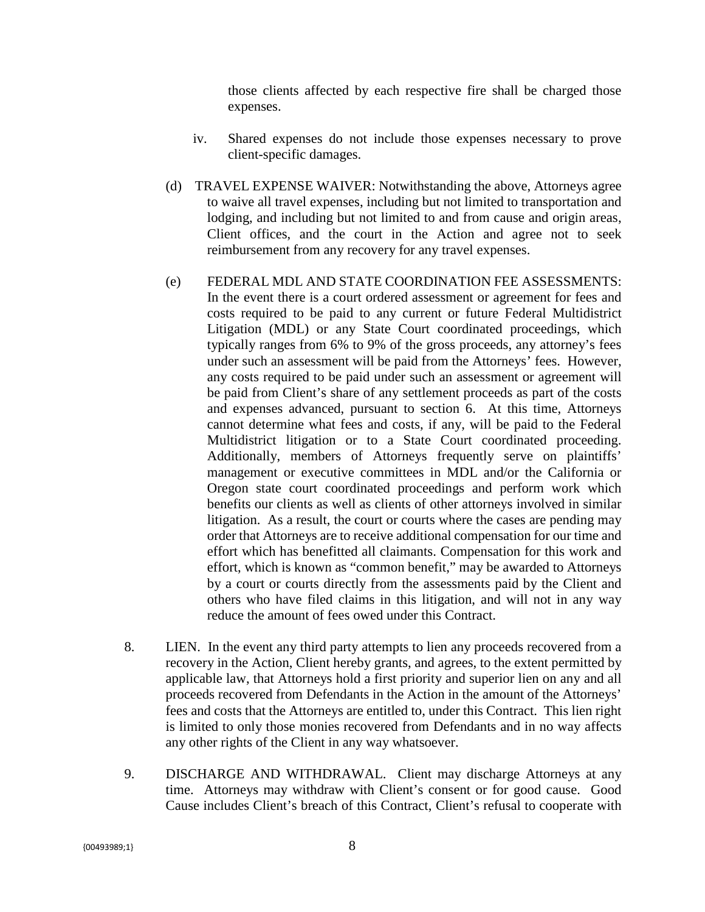those clients affected by each respective fire shall be charged those expenses.

- iv. Shared expenses do not include those expenses necessary to prove client-specific damages.
- (d) TRAVEL EXPENSE WAIVER: Notwithstanding the above, Attorneys agree to waive all travel expenses, including but not limited to transportation and lodging, and including but not limited to and from cause and origin areas, Client offices, and the court in the Action and agree not to seek reimbursement from any recovery for any travel expenses.
- (e) FEDERAL MDL AND STATE COORDINATION FEE ASSESSMENTS: In the event there is a court ordered assessment or agreement for fees and costs required to be paid to any current or future Federal Multidistrict Litigation (MDL) or any State Court coordinated proceedings, which typically ranges from 6% to 9% of the gross proceeds, any attorney's fees under such an assessment will be paid from the Attorneys' fees. However, any costs required to be paid under such an assessment or agreement will be paid from Client's share of any settlement proceeds as part of the costs and expenses advanced, pursuant to section 6. At this time, Attorneys cannot determine what fees and costs, if any, will be paid to the Federal Multidistrict litigation or to a State Court coordinated proceeding. Additionally, members of Attorneys frequently serve on plaintiffs' management or executive committees in MDL and/or the California or Oregon state court coordinated proceedings and perform work which benefits our clients as well as clients of other attorneys involved in similar litigation. As a result, the court or courts where the cases are pending may order that Attorneys are to receive additional compensation for our time and effort which has benefitted all claimants. Compensation for this work and effort, which is known as "common benefit," may be awarded to Attorneys by a court or courts directly from the assessments paid by the Client and others who have filed claims in this litigation, and will not in any way reduce the amount of fees owed under this Contract.
- 8. LIEN. In the event any third party attempts to lien any proceeds recovered from a recovery in the Action, Client hereby grants, and agrees, to the extent permitted by applicable law, that Attorneys hold a first priority and superior lien on any and all proceeds recovered from Defendants in the Action in the amount of the Attorneys' fees and costs that the Attorneys are entitled to, under this Contract. This lien right is limited to only those monies recovered from Defendants and in no way affects any other rights of the Client in any way whatsoever.
- 9. DISCHARGE AND WITHDRAWAL. Client may discharge Attorneys at any time. Attorneys may withdraw with Client's consent or for good cause. Good Cause includes Client's breach of this Contract, Client's refusal to cooperate with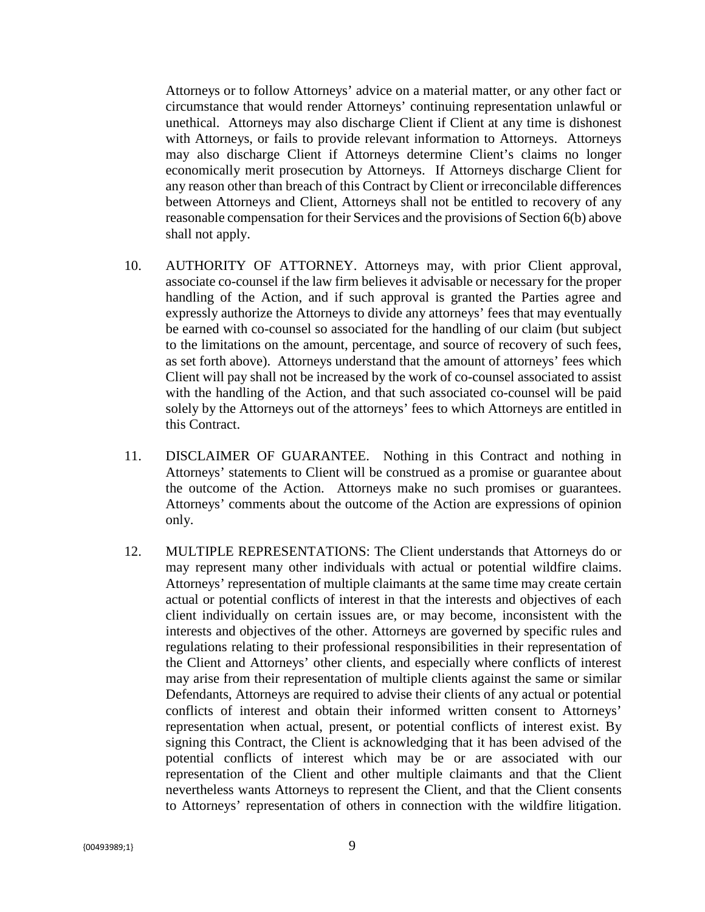Attorneys or to follow Attorneys' advice on a material matter, or any other fact or circumstance that would render Attorneys' continuing representation unlawful or unethical. Attorneys may also discharge Client if Client at any time is dishonest with Attorneys, or fails to provide relevant information to Attorneys. Attorneys may also discharge Client if Attorneys determine Client's claims no longer economically merit prosecution by Attorneys. If Attorneys discharge Client for any reason other than breach of this Contract by Client or irreconcilable differences between Attorneys and Client, Attorneys shall not be entitled to recovery of any reasonable compensation for their Services and the provisions of Section 6(b) above shall not apply.

- 10. AUTHORITY OF ATTORNEY. Attorneys may, with prior Client approval, associate co-counsel if the law firm believes it advisable or necessary for the proper handling of the Action, and if such approval is granted the Parties agree and expressly authorize the Attorneys to divide any attorneys' fees that may eventually be earned with co-counsel so associated for the handling of our claim (but subject to the limitations on the amount, percentage, and source of recovery of such fees, as set forth above). Attorneys understand that the amount of attorneys' fees which Client will pay shall not be increased by the work of co-counsel associated to assist with the handling of the Action, and that such associated co-counsel will be paid solely by the Attorneys out of the attorneys' fees to which Attorneys are entitled in this Contract.
- 11. DISCLAIMER OF GUARANTEE. Nothing in this Contract and nothing in Attorneys' statements to Client will be construed as a promise or guarantee about the outcome of the Action. Attorneys make no such promises or guarantees. Attorneys' comments about the outcome of the Action are expressions of opinion only.
- 12. MULTIPLE REPRESENTATIONS: The Client understands that Attorneys do or may represent many other individuals with actual or potential wildfire claims. Attorneys' representation of multiple claimants at the same time may create certain actual or potential conflicts of interest in that the interests and objectives of each client individually on certain issues are, or may become, inconsistent with the interests and objectives of the other. Attorneys are governed by specific rules and regulations relating to their professional responsibilities in their representation of the Client and Attorneys' other clients, and especially where conflicts of interest may arise from their representation of multiple clients against the same or similar Defendants, Attorneys are required to advise their clients of any actual or potential conflicts of interest and obtain their informed written consent to Attorneys' representation when actual, present, or potential conflicts of interest exist. By signing this Contract, the Client is acknowledging that it has been advised of the potential conflicts of interest which may be or are associated with our representation of the Client and other multiple claimants and that the Client nevertheless wants Attorneys to represent the Client, and that the Client consents to Attorneys' representation of others in connection with the wildfire litigation.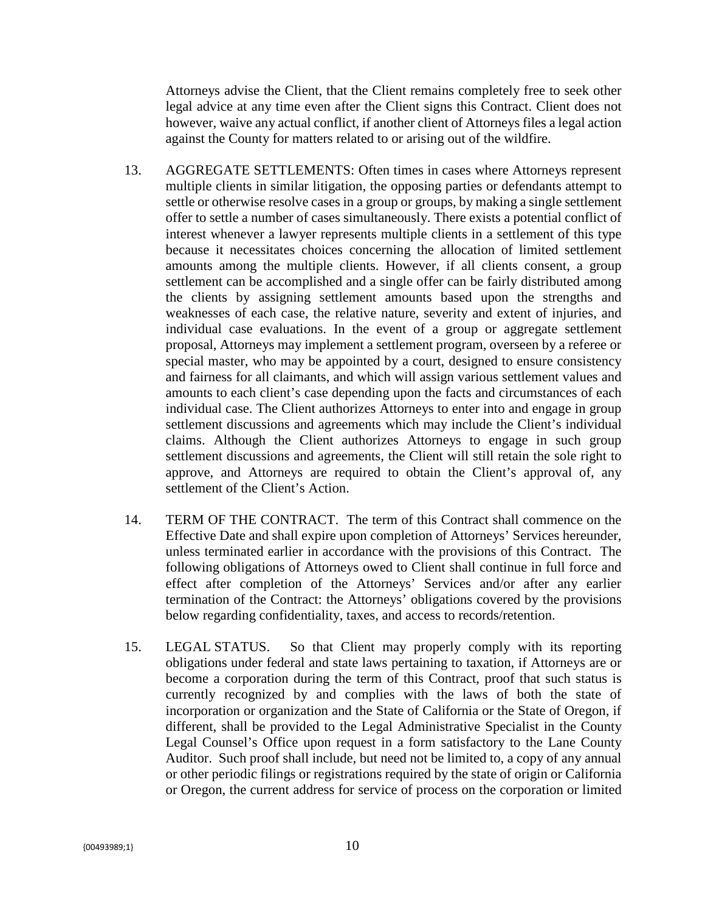Attorneys advise the Client, that the Client remains completely free to seek other legal advice at any time even after the Client signs this Contract. Client does not however, waive any actual conflict, if another client of Attorneys files a legal action against the County for matters related to or arising out of the wildfire.

- 13. AGGREGATE SETTLEMENTS: Often times in cases where Attorneys represent multiple clients in similar litigation, the opposing parties or defendants attempt to settle or otherwise resolve cases in a group or groups, by making a single settlement offer to settle a number of cases simultaneously. There exists a potential conflict of interest whenever a lawyer represents multiple clients in a settlement of this type because it necessitates choices concerning the allocation of limited settlement amounts among the multiple clients. However, if all clients consent, a group settlement can be accomplished and a single offer can be fairly distributed among the clients by assigning settlement amounts based upon the strengths and weaknesses of each case, the relative nature, severity and extent of injuries, and individual case evaluations. In the event of a group or aggregate settlement proposal, Attorneys may implement a settlement program, overseen by a referee or special master, who may be appointed by a court, designed to ensure consistency and fairness for all claimants, and which will assign various settlement values and amounts to each client's case depending upon the facts and circumstances of each individual case. The Client authorizes Attorneys to enter into and engage in group settlement discussions and agreements which may include the Client's individual claims. Although the Client authorizes Attorneys to engage in such group settlement discussions and agreements, the Client will still retain the sole right to approve, and Attorneys are required to obtain the Client's approval of, any settlement of the Client's Action.
- 14. TERM OF THE CONTRACT. The term of this Contract shall commence on the Effective Date and shall expire upon completion of Attorneys' Services hereunder, unless terminated earlier in accordance with the provisions of this Contract. The following obligations of Attorneys owed to Client shall continue in full force and effect after completion of the Attorneys' Services and/or after any earlier termination of the Contract: the Attorneys' obligations covered by the provisions below regarding confidentiality, taxes, and access to records/retention.
- 15. LEGAL STATUS. So that Client may properly comply with its reporting obligations under federal and state laws pertaining to taxation, if Attorneys are or become a corporation during the term of this Contract, proof that such status is currently recognized by and complies with the laws of both the state of incorporation or organization and the State of California or the State of Oregon, if different, shall be provided to the Legal Administrative Specialist in the County Legal Counsel's Office upon request in a form satisfactory to the Lane County Auditor. Such proof shall include, but need not be limited to, a copy of any annual or other periodic filings or registrations required by the state of origin or California or Oregon, the current address for service of process on the corporation or limited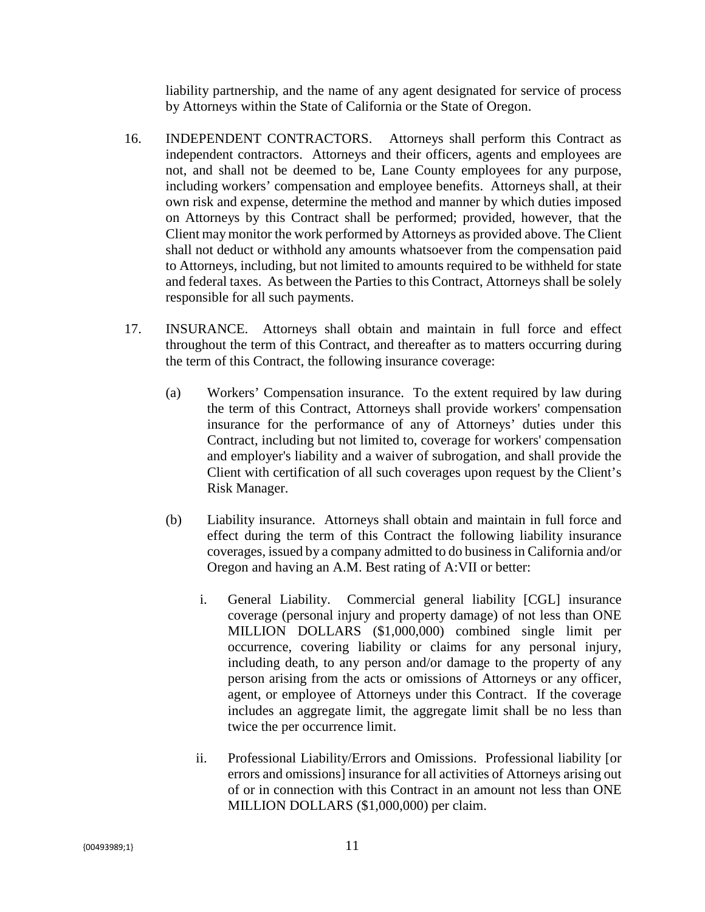liability partnership, and the name of any agent designated for service of process by Attorneys within the State of California or the State of Oregon.

- 16. INDEPENDENT CONTRACTORS. Attorneys shall perform this Contract as independent contractors. Attorneys and their officers, agents and employees are not, and shall not be deemed to be, Lane County employees for any purpose, including workers' compensation and employee benefits. Attorneys shall, at their own risk and expense, determine the method and manner by which duties imposed on Attorneys by this Contract shall be performed; provided, however, that the Client may monitor the work performed by Attorneys as provided above. The Client shall not deduct or withhold any amounts whatsoever from the compensation paid to Attorneys, including, but not limited to amounts required to be withheld for state and federal taxes. As between the Parties to this Contract, Attorneys shall be solely responsible for all such payments.
- 17. INSURANCE. Attorneys shall obtain and maintain in full force and effect throughout the term of this Contract, and thereafter as to matters occurring during the term of this Contract, the following insurance coverage:
	- (a) Workers' Compensation insurance. To the extent required by law during the term of this Contract, Attorneys shall provide workers' compensation insurance for the performance of any of Attorneys' duties under this Contract, including but not limited to, coverage for workers' compensation and employer's liability and a waiver of subrogation, and shall provide the Client with certification of all such coverages upon request by the Client's Risk Manager.
	- (b) Liability insurance. Attorneys shall obtain and maintain in full force and effect during the term of this Contract the following liability insurance coverages, issued by a company admitted to do business in California and/or Oregon and having an A.M. Best rating of A:VII or better:
		- i. General Liability. Commercial general liability [CGL] insurance coverage (personal injury and property damage) of not less than ONE MILLION DOLLARS (\$1,000,000) combined single limit per occurrence, covering liability or claims for any personal injury, including death, to any person and/or damage to the property of any person arising from the acts or omissions of Attorneys or any officer, agent, or employee of Attorneys under this Contract. If the coverage includes an aggregate limit, the aggregate limit shall be no less than twice the per occurrence limit.
		- ii. Professional Liability/Errors and Omissions. Professional liability [or errors and omissions] insurance for all activities of Attorneys arising out of or in connection with this Contract in an amount not less than ONE MILLION DOLLARS (\$1,000,000) per claim.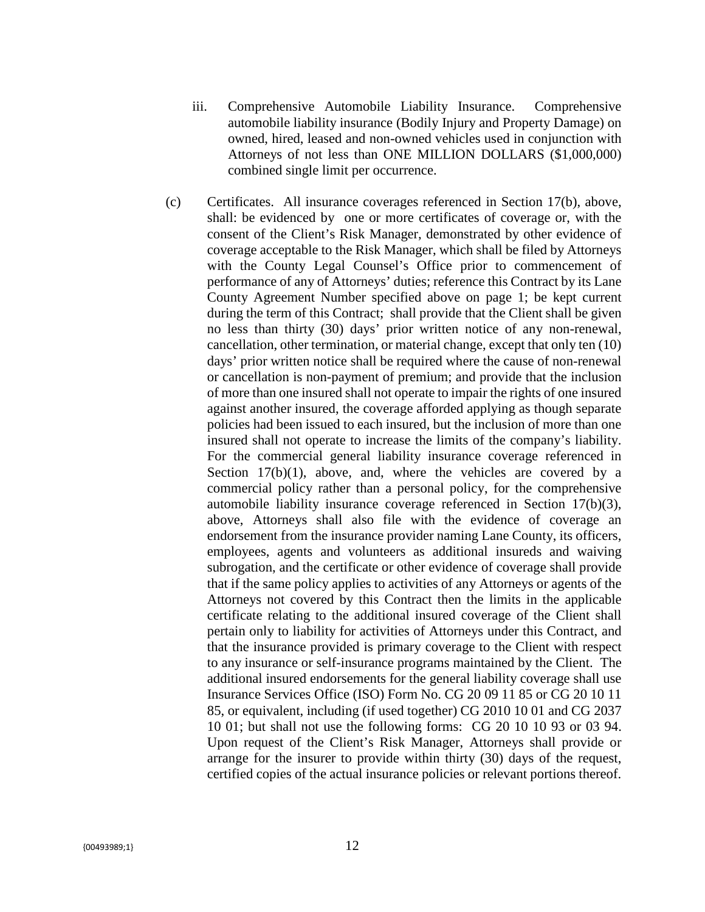- iii. Comprehensive Automobile Liability Insurance. Comprehensive automobile liability insurance (Bodily Injury and Property Damage) on owned, hired, leased and non-owned vehicles used in conjunction with Attorneys of not less than ONE MILLION DOLLARS (\$1,000,000) combined single limit per occurrence.
- (c) Certificates. All insurance coverages referenced in Section 17(b), above, shall: be evidenced by one or more certificates of coverage or, with the consent of the Client's Risk Manager, demonstrated by other evidence of coverage acceptable to the Risk Manager, which shall be filed by Attorneys with the County Legal Counsel's Office prior to commencement of performance of any of Attorneys' duties; reference this Contract by its Lane County Agreement Number specified above on page 1; be kept current during the term of this Contract; shall provide that the Client shall be given no less than thirty (30) days' prior written notice of any non-renewal, cancellation, other termination, or material change, except that only ten (10) days' prior written notice shall be required where the cause of non-renewal or cancellation is non-payment of premium; and provide that the inclusion of more than one insured shall not operate to impair the rights of one insured against another insured, the coverage afforded applying as though separate policies had been issued to each insured, but the inclusion of more than one insured shall not operate to increase the limits of the company's liability. For the commercial general liability insurance coverage referenced in Section  $17(b)(1)$ , above, and, where the vehicles are covered by a commercial policy rather than a personal policy, for the comprehensive automobile liability insurance coverage referenced in Section 17(b)(3), above, Attorneys shall also file with the evidence of coverage an endorsement from the insurance provider naming Lane County, its officers, employees, agents and volunteers as additional insureds and waiving subrogation, and the certificate or other evidence of coverage shall provide that if the same policy applies to activities of any Attorneys or agents of the Attorneys not covered by this Contract then the limits in the applicable certificate relating to the additional insured coverage of the Client shall pertain only to liability for activities of Attorneys under this Contract, and that the insurance provided is primary coverage to the Client with respect to any insurance or self-insurance programs maintained by the Client. The additional insured endorsements for the general liability coverage shall use Insurance Services Office (ISO) Form No. CG 20 09 11 85 or CG 20 10 11 85, or equivalent, including (if used together) CG 2010 10 01 and CG 2037 10 01; but shall not use the following forms: CG 20 10 10 93 or 03 94. Upon request of the Client's Risk Manager, Attorneys shall provide or arrange for the insurer to provide within thirty (30) days of the request, certified copies of the actual insurance policies or relevant portions thereof.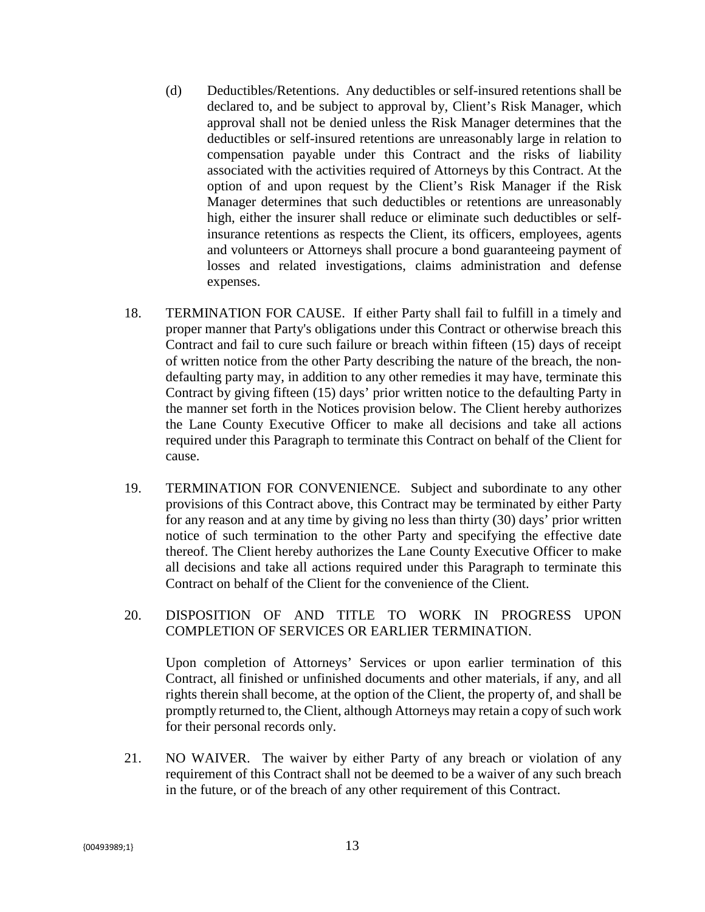- (d) Deductibles/Retentions. Any deductibles or self-insured retentions shall be declared to, and be subject to approval by, Client's Risk Manager, which approval shall not be denied unless the Risk Manager determines that the deductibles or self-insured retentions are unreasonably large in relation to compensation payable under this Contract and the risks of liability associated with the activities required of Attorneys by this Contract. At the option of and upon request by the Client's Risk Manager if the Risk Manager determines that such deductibles or retentions are unreasonably high, either the insurer shall reduce or eliminate such deductibles or selfinsurance retentions as respects the Client, its officers, employees, agents and volunteers or Attorneys shall procure a bond guaranteeing payment of losses and related investigations, claims administration and defense expenses.
- 18. TERMINATION FOR CAUSE. If either Party shall fail to fulfill in a timely and proper manner that Party's obligations under this Contract or otherwise breach this Contract and fail to cure such failure or breach within fifteen (15) days of receipt of written notice from the other Party describing the nature of the breach, the nondefaulting party may, in addition to any other remedies it may have, terminate this Contract by giving fifteen (15) days' prior written notice to the defaulting Party in the manner set forth in the Notices provision below. The Client hereby authorizes the Lane County Executive Officer to make all decisions and take all actions required under this Paragraph to terminate this Contract on behalf of the Client for cause.
- 19. TERMINATION FOR CONVENIENCE. Subject and subordinate to any other provisions of this Contract above, this Contract may be terminated by either Party for any reason and at any time by giving no less than thirty (30) days' prior written notice of such termination to the other Party and specifying the effective date thereof. The Client hereby authorizes the Lane County Executive Officer to make all decisions and take all actions required under this Paragraph to terminate this Contract on behalf of the Client for the convenience of the Client.

### 20. DISPOSITION OF AND TITLE TO WORK IN PROGRESS UPON COMPLETION OF SERVICES OR EARLIER TERMINATION.

Upon completion of Attorneys' Services or upon earlier termination of this Contract, all finished or unfinished documents and other materials, if any, and all rights therein shall become, at the option of the Client, the property of, and shall be promptly returned to, the Client, although Attorneys may retain a copy of such work for their personal records only.

21. NO WAIVER. The waiver by either Party of any breach or violation of any requirement of this Contract shall not be deemed to be a waiver of any such breach in the future, or of the breach of any other requirement of this Contract.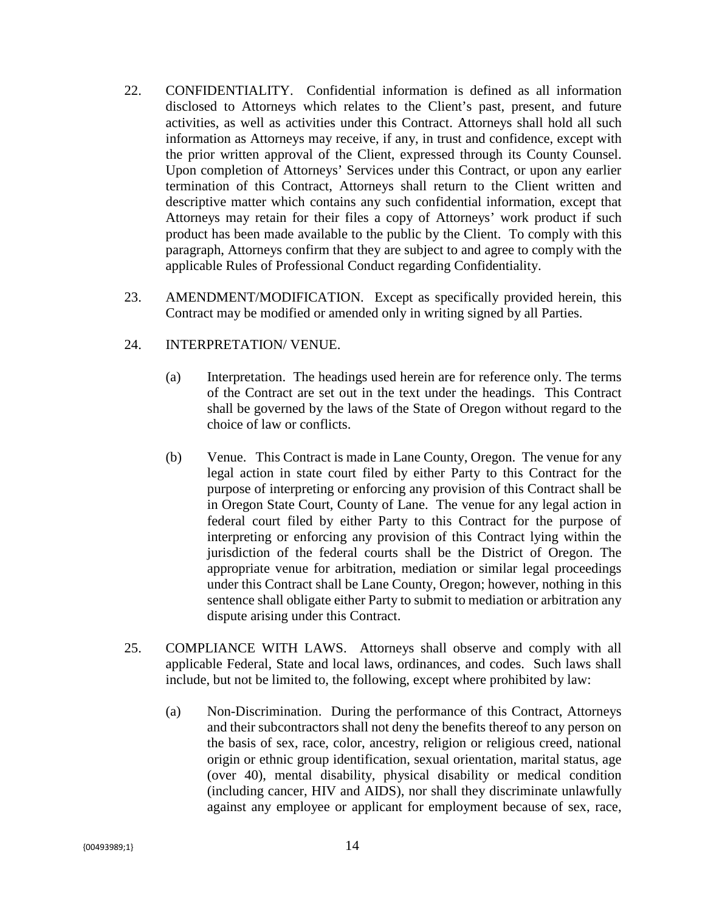- 22. CONFIDENTIALITY. Confidential information is defined as all information disclosed to Attorneys which relates to the Client's past, present, and future activities, as well as activities under this Contract. Attorneys shall hold all such information as Attorneys may receive, if any, in trust and confidence, except with the prior written approval of the Client, expressed through its County Counsel. Upon completion of Attorneys' Services under this Contract, or upon any earlier termination of this Contract, Attorneys shall return to the Client written and descriptive matter which contains any such confidential information, except that Attorneys may retain for their files a copy of Attorneys' work product if such product has been made available to the public by the Client. To comply with this paragraph, Attorneys confirm that they are subject to and agree to comply with the applicable Rules of Professional Conduct regarding Confidentiality.
- 23. AMENDMENT/MODIFICATION. Except as specifically provided herein, this Contract may be modified or amended only in writing signed by all Parties.

## 24. INTERPRETATION/ VENUE.

- (a) Interpretation. The headings used herein are for reference only. The terms of the Contract are set out in the text under the headings. This Contract shall be governed by the laws of the State of Oregon without regard to the choice of law or conflicts.
- (b) Venue. This Contract is made in Lane County, Oregon. The venue for any legal action in state court filed by either Party to this Contract for the purpose of interpreting or enforcing any provision of this Contract shall be in Oregon State Court, County of Lane. The venue for any legal action in federal court filed by either Party to this Contract for the purpose of interpreting or enforcing any provision of this Contract lying within the jurisdiction of the federal courts shall be the District of Oregon. The appropriate venue for arbitration, mediation or similar legal proceedings under this Contract shall be Lane County, Oregon; however, nothing in this sentence shall obligate either Party to submit to mediation or arbitration any dispute arising under this Contract.
- 25. COMPLIANCE WITH LAWS. Attorneys shall observe and comply with all applicable Federal, State and local laws, ordinances, and codes. Such laws shall include, but not be limited to, the following, except where prohibited by law:
	- (a) Non-Discrimination. During the performance of this Contract, Attorneys and their subcontractors shall not deny the benefits thereof to any person on the basis of sex, race, color, ancestry, religion or religious creed, national origin or ethnic group identification, sexual orientation, marital status, age (over 40), mental disability, physical disability or medical condition (including cancer, HIV and AIDS), nor shall they discriminate unlawfully against any employee or applicant for employment because of sex, race,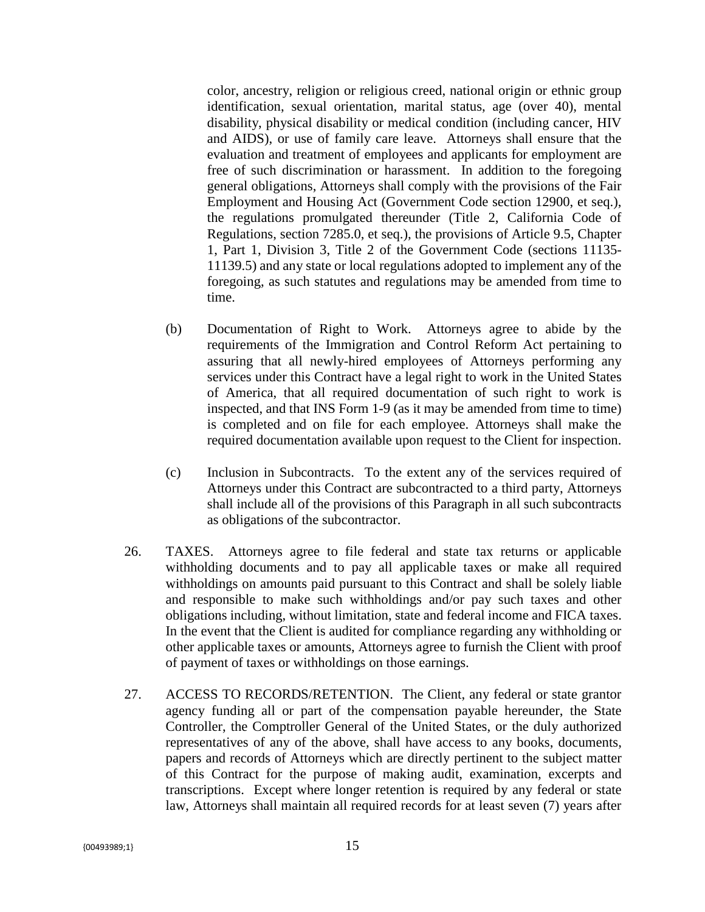color, ancestry, religion or religious creed, national origin or ethnic group identification, sexual orientation, marital status, age (over 40), mental disability, physical disability or medical condition (including cancer, HIV and AIDS), or use of family care leave. Attorneys shall ensure that the evaluation and treatment of employees and applicants for employment are free of such discrimination or harassment. In addition to the foregoing general obligations, Attorneys shall comply with the provisions of the Fair Employment and Housing Act (Government Code section 12900, et seq.), the regulations promulgated thereunder (Title 2, California Code of Regulations, section 7285.0, et seq.), the provisions of Article 9.5, Chapter 1, Part 1, Division 3, Title 2 of the Government Code (sections 11135- 11139.5) and any state or local regulations adopted to implement any of the foregoing, as such statutes and regulations may be amended from time to time.

- (b) Documentation of Right to Work. Attorneys agree to abide by the requirements of the Immigration and Control Reform Act pertaining to assuring that all newly-hired employees of Attorneys performing any services under this Contract have a legal right to work in the United States of America, that all required documentation of such right to work is inspected, and that INS Form 1-9 (as it may be amended from time to time) is completed and on file for each employee. Attorneys shall make the required documentation available upon request to the Client for inspection.
- (c) Inclusion in Subcontracts. To the extent any of the services required of Attorneys under this Contract are subcontracted to a third party, Attorneys shall include all of the provisions of this Paragraph in all such subcontracts as obligations of the subcontractor.
- 26. TAXES. Attorneys agree to file federal and state tax returns or applicable withholding documents and to pay all applicable taxes or make all required withholdings on amounts paid pursuant to this Contract and shall be solely liable and responsible to make such withholdings and/or pay such taxes and other obligations including, without limitation, state and federal income and FICA taxes. In the event that the Client is audited for compliance regarding any withholding or other applicable taxes or amounts, Attorneys agree to furnish the Client with proof of payment of taxes or withholdings on those earnings.
- 27. ACCESS TO RECORDS/RETENTION. The Client, any federal or state grantor agency funding all or part of the compensation payable hereunder, the State Controller, the Comptroller General of the United States, or the duly authorized representatives of any of the above, shall have access to any books, documents, papers and records of Attorneys which are directly pertinent to the subject matter of this Contract for the purpose of making audit, examination, excerpts and transcriptions. Except where longer retention is required by any federal or state law, Attorneys shall maintain all required records for at least seven (7) years after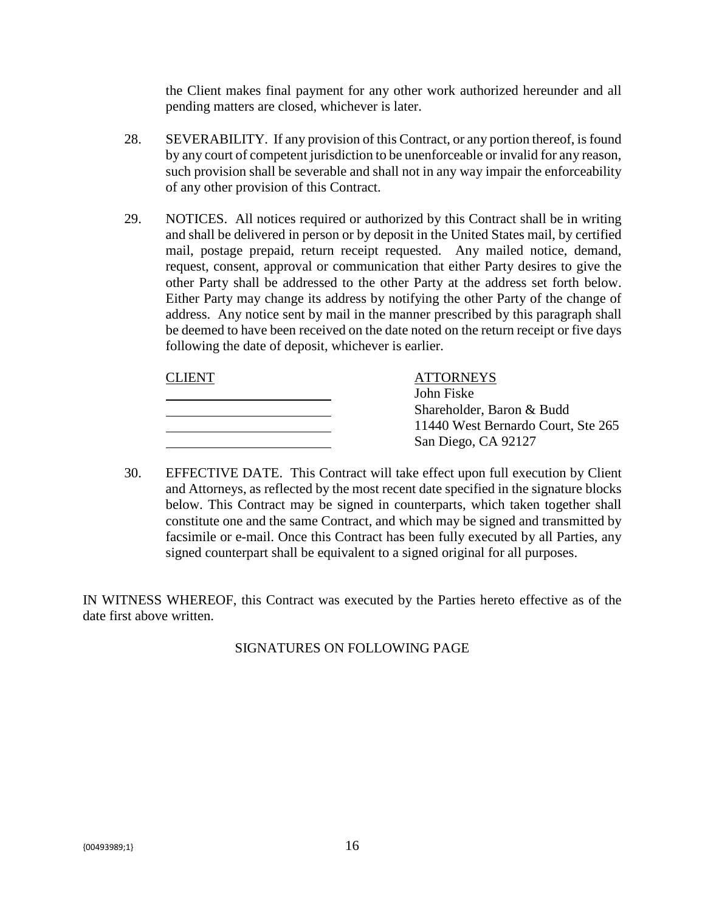the Client makes final payment for any other work authorized hereunder and all pending matters are closed, whichever is later.

- 28. SEVERABILITY. If any provision of this Contract, or any portion thereof, is found by any court of competent jurisdiction to be unenforceable or invalid for any reason, such provision shall be severable and shall not in any way impair the enforceability of any other provision of this Contract.
- 29. NOTICES. All notices required or authorized by this Contract shall be in writing and shall be delivered in person or by deposit in the United States mail, by certified mail, postage prepaid, return receipt requested. Any mailed notice, demand, request, consent, approval or communication that either Party desires to give the other Party shall be addressed to the other Party at the address set forth below. Either Party may change its address by notifying the other Party of the change of address. Any notice sent by mail in the manner prescribed by this paragraph shall be deemed to have been received on the date noted on the return receipt or five days following the date of deposit, whichever is earlier.

| <b>CLIENT</b> | <b>ATTORNEYS</b>                   |  |
|---------------|------------------------------------|--|
|               | John Fiske                         |  |
|               | Shareholder, Baron & Budd          |  |
|               | 11440 West Bernardo Court, Ste 265 |  |
|               | San Diego, CA 92127                |  |

30. EFFECTIVE DATE. This Contract will take effect upon full execution by Client and Attorneys, as reflected by the most recent date specified in the signature blocks below. This Contract may be signed in counterparts, which taken together shall constitute one and the same Contract, and which may be signed and transmitted by facsimile or e-mail. Once this Contract has been fully executed by all Parties, any signed counterpart shall be equivalent to a signed original for all purposes.

IN WITNESS WHEREOF, this Contract was executed by the Parties hereto effective as of the date first above written.

# SIGNATURES ON FOLLOWING PAGE